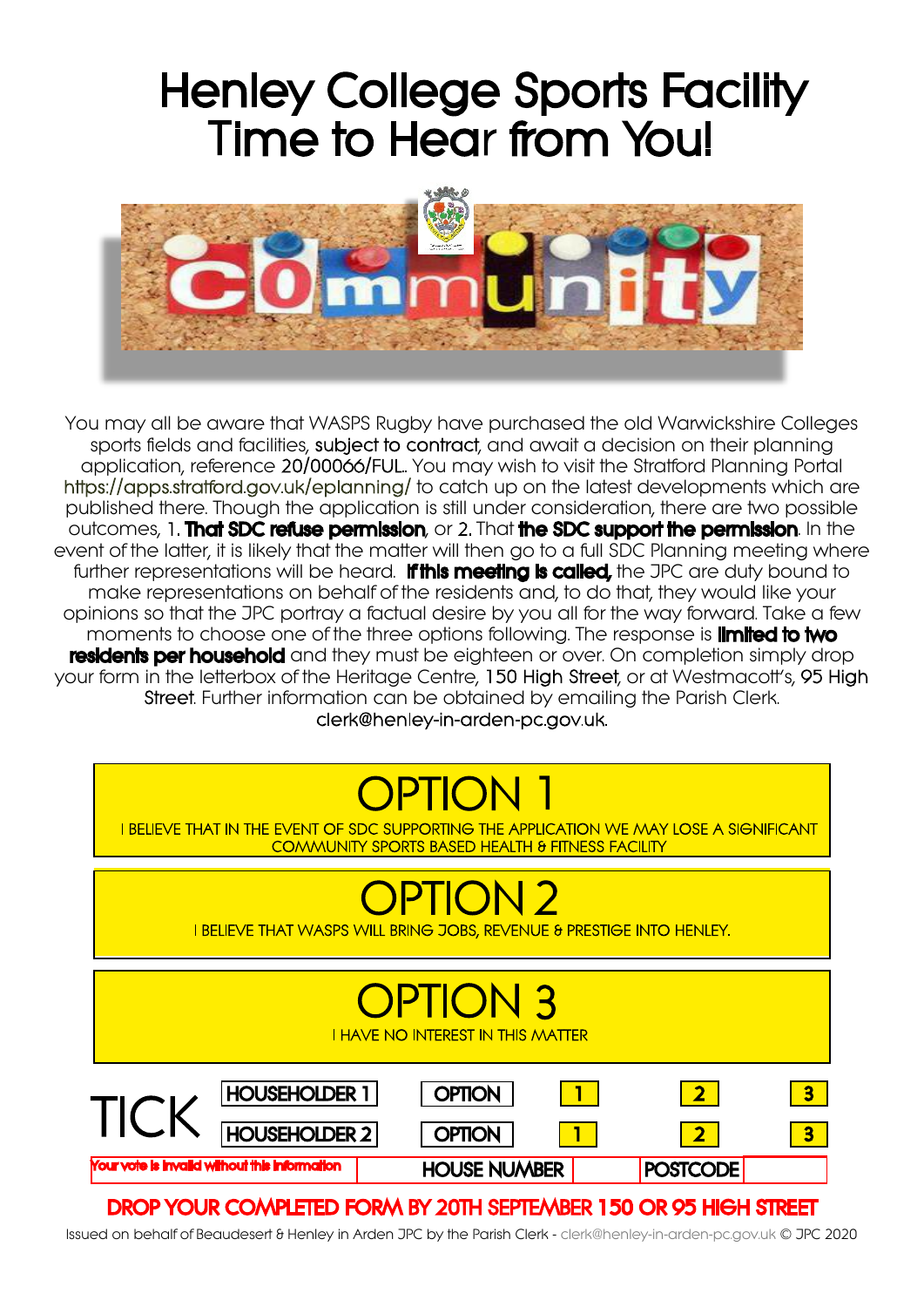# **Henley College Sports Facility Time to Hear from You!**



You may all be aware that WASPS Rugby have purchased the old Warwickshire Colleges sports fields and facilities, subject to contract, and await a decision on their planning application, reference 20/00066/FUL. You may wish to visit the Stratford Planning Portal https://apps.stratford.gov.uk/eplanning/ to catch up on the latest developments which are published there. Though the application is still under consideration, there are two possible outcomes, 1. That SDC refuse permission, or 2. That the SDC support the permission. In the event of the latter, it is likely that the matter will then go to a full SDC Planning meeting where further representations will be heard. **If this meeting is called**, the JPC are duty bound to make representations on behalf of the residents and, to do that, they would like your opinions so that the JPC portray a factual desire by you all for the way forward. Take a few moments to choose one of the three options following. The response is **limited to two** residents per household and they must be eighteen or over. On completion simply drop your form in the letterbox of the Heritage Centre, 150 High Street, or at Westmacott's, 95 High . Further information can be obtained by emailing the Parish Clerk. clerk@henley-in-arden-pc.gov.uk.

I BELIEVE THAT IN THE EVENT OF SDC SUPPORTING THE APPLICATION WE MAY LOSE A SIGNIFICANT **COMMUNITY SPORTS BASED HEALTH & FITNESS FACILITY** 

I BELIEVE THAT WASPS WILL BRING JOBS, REVENUE & PRESTIGE INTO HENLEY.

| <b>OPTION 3</b><br><b>I HAVE NO INTEREST IN THIS MATTER</b> |                      |  |                     |  |                 |                         |  |
|-------------------------------------------------------------|----------------------|--|---------------------|--|-----------------|-------------------------|--|
|                                                             | <b>HOUSEHOLDER 1</b> |  | <b>OPTION</b>       |  |                 | $\overline{\mathbf{3}}$ |  |
|                                                             | <b>HOUSEHOLDER 2</b> |  | <b>OPTION</b>       |  |                 | $\overline{\mathbf{3}}$ |  |
| Your vote is invalid without this information               |                      |  | <b>HOUSE NUMBER</b> |  | <b>POSTCODE</b> |                         |  |

## DROP YOUR COMPLETED FORM BY 20TH SEPTEMBER 150 OR 95 HIGH STREET

Issued on behalf of Beaudesert & Henley in Arden JPC by the Parish Clerk - clerk@henley-in-arden-pc.gov.uk © JPC 2020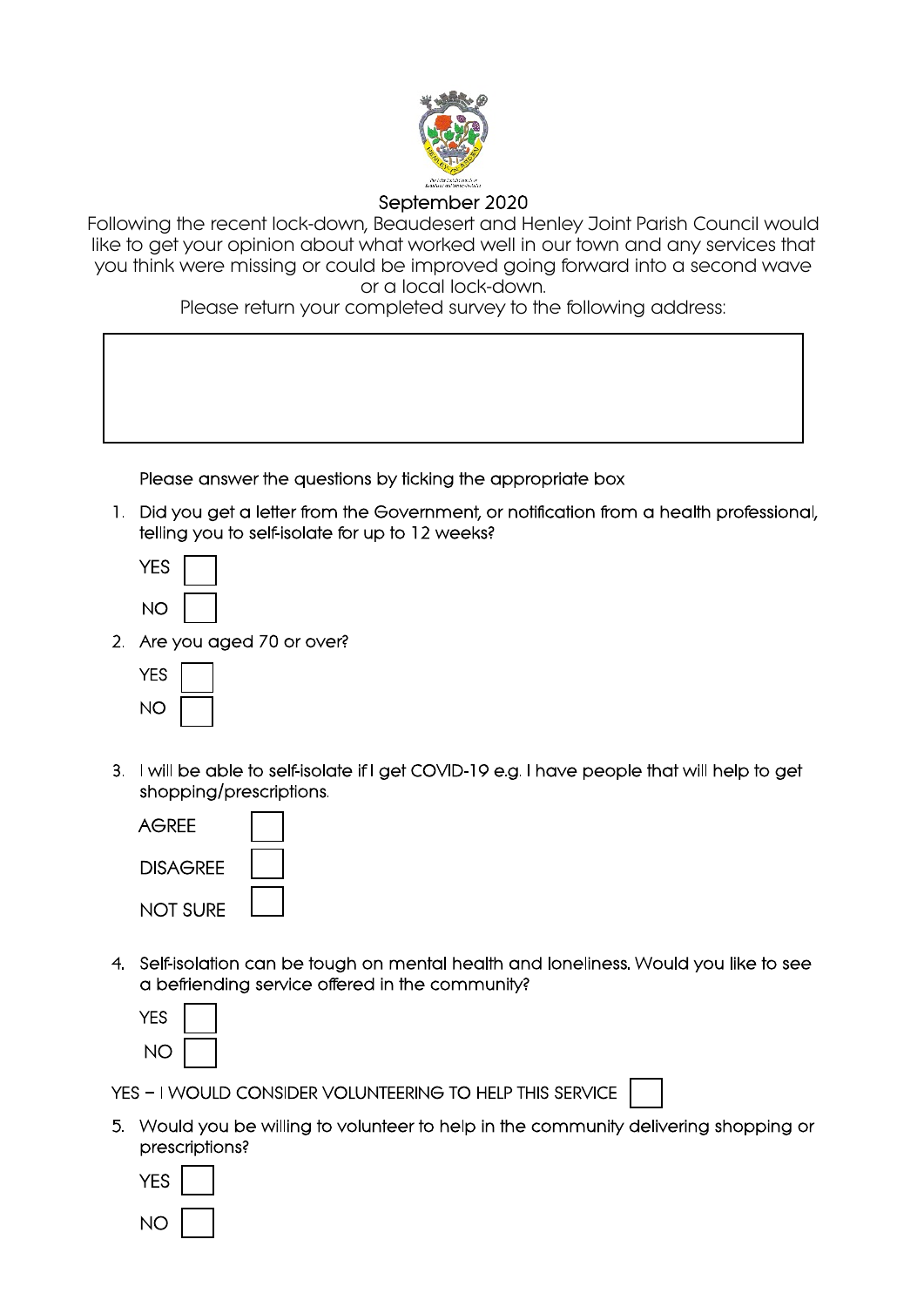

### September 2020

Following the recent lock-down, Beaudesert and Henley Joint Parish Council would like to get your opinion about what worked well in our town and any services that you think were missing or could be improved going forward into a second wave or a local lock-down.

Please return your completed survey to the following address:

Please answer the questions by ticking the appropriate box

1. Did you get a letter from the Government, or notification from a health professional, telling you to self-isolate for up to 12 weeks?

| -5 |  |
|----|--|
| ı  |  |

2 Are you aged 70 or over?



3. I will be able to self-isolate if I get COVID-19 e.g. I have people that will help to get shopping/prescriptions.

| AGRFF           |  |
|-----------------|--|
| DISAGRFF        |  |
| <b>NOT SURE</b> |  |

4. Self-isolation can be tough on mental health and loneliness. Would you like to see a befriending service offered in the community?



YES - I WOULD CONSIDER VOLUNTEERING TO HELP THIS SERVICE

5. Would you be willing to volunteer to help in the community delivering shopping or prescriptions?